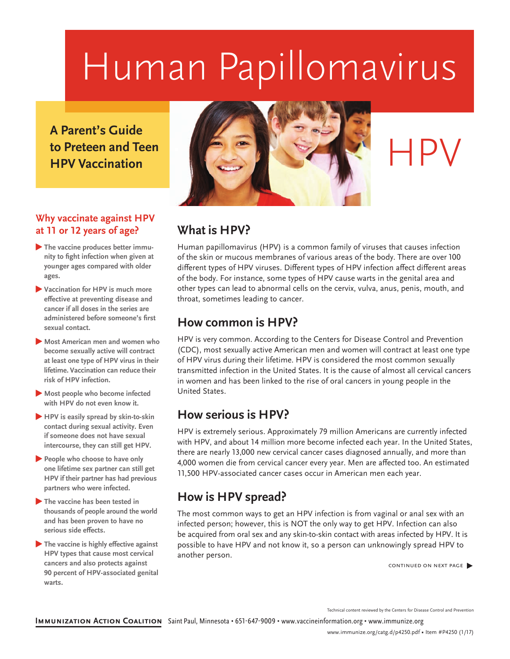## Human Papillomavirus

**A Parent's Guide to Preteen and Teen HPV Vaccination**

#### **Why vaccinate against HPV at 11 or 12 years of age?**

- � **The vaccine produces better immunity to fight infection when given at younger ages compared with older ages.**
- � **Vaccination for HPV is much more effective at preventing disease and cancer if all doses in the series are administered before someone's first sexual contact.**
- � **Most American men and women who become sexually active will contract at least one type of HPV virus in their lifetime. Vaccination can reduce their risk of HPV infection.**
- � **Most people who become infected with HPV do not even know it.**
- � **HPV is easily spread by skin-to-skin contact during sexual activity. Even if someone does not have sexual intercourse, they can still get HPV.**
- � **People who choose to have only one lifetime sex partner can still get HPV if their partner has had previous partners who were infected.**
- � **The vaccine has been tested in thousands of people around the world and has been proven to have no serious side effects.**
- � **The vaccine is highly effective against HPV types that cause most cervical cancers and also protects against 90 percent of HPV-associated genital warts.**



# HPV

## **What is HPV?**

Human papillomavirus (HPV) is a common family of viruses that causes infection of the skin or mucous membranes of various areas of the body. There are over 100 different types of HPV viruses. Different types of HPV infection affect different areas of the body. For instance, some types of HPV cause warts in the genital area and other types can lead to abnormal cells on the cervix, vulva, anus, penis, mouth, and throat, sometimes leading to cancer.

### **How common is HPV?**

HPV is very common. According to the Centers for Disease Control and Prevention (CDC), most sexually active American men and women will contract at least one type of HPV virus during their lifetime. HPV is considered the most common sexually transmitted infection in the United States. It is the cause of almost all cervical cancers in women and has been linked to the rise of oral cancers in young people in the United States.

## **How serious is HPV?**

HPV is extremely serious. Approximately 79 million Americans are currently infected with HPV, and about 14 million more become infected each year. In the United States, there are nearly 13,000 new cervical cancer cases diagnosed annually, and more than 4,000 women die from cervical cancer every year. Men are affected too. An estimated 11,500 HPV-associated cancer cases occur in American men each year.

## **How is HPV spread?**

The most common ways to get an HPV infection is from vaginal or anal sex with an infected person; however, this is NOT the only way to get HPV. Infection can also be acquired from oral sex and any skin-to-skin contact with areas infected by HPV. It is possible to have HPV and not know it, so a person can unknowingly spread HPV to another person.

continued on next page ▶

Technical content reviewed by the Centers for Disease Control and Prevention

**Immunization Action Coalition** Saint Paul, Minnesota • 651-647-9009 • [www.vaccineinformation.org](http://www.vaccineinformation.org) • [www.immunize.org](http://www.immunize.org)